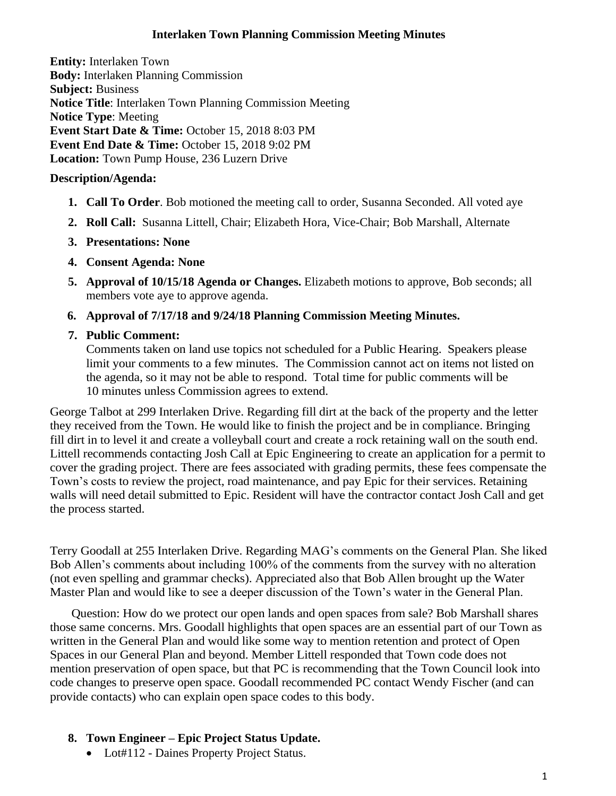#### **Interlaken Town Planning Commission Meeting Minutes**

**Entity:** Interlaken Town **Body:** Interlaken [Planning Commission](http://www.utah.gov/pmn/sitemap/publicbody/5029.html) **Subject:** Business **Notice Title**: Interlaken Town Planning Commission Meeting **Notice Type**: Meeting **Event Start Date & Time:** October 15, 2018 8:03 PM **Event End Date & Time:** October 15, 2018 9:02 PM **Location:** Town Pump House, 236 Luzern Drive

### **Description/Agenda:**

- **1. Call To Order**. Bob motioned the meeting call to order, Susanna Seconded. All voted aye
- **2. Roll Call:** Susanna Littell, Chair; Elizabeth Hora, Vice-Chair; Bob Marshall, Alternate
- **3. Presentations: None**
- **4. Consent Agenda: None**
- **5. Approval of 10/15/18 Agenda or Changes.** Elizabeth motions to approve, Bob seconds; all members vote aye to approve agenda.
- **6. Approval of 7/17/18 and 9/24/18 Planning Commission Meeting Minutes.**
- **7. Public Comment:**

Comments taken on land use topics not scheduled for a Public Hearing. Speakers please limit your comments to a few minutes. The Commission cannot act on items not listed on the agenda, so it may not be able to respond. Total time for public comments will be 10 minutes unless Commission agrees to extend.

George Talbot at 299 Interlaken Drive. Regarding fill dirt at the back of the property and the letter they received from the Town. He would like to finish the project and be in compliance. Bringing fill dirt in to level it and create a volleyball court and create a rock retaining wall on the south end. Littell recommends contacting Josh Call at Epic Engineering to create an application for a permit to cover the grading project. There are fees associated with grading permits, these fees compensate the Town's costs to review the project, road maintenance, and pay Epic for their services. Retaining walls will need detail submitted to Epic. Resident will have the contractor contact Josh Call and get the process started.

Terry Goodall at 255 Interlaken Drive. Regarding MAG's comments on the General Plan. She liked Bob Allen's comments about including 100% of the comments from the survey with no alteration (not even spelling and grammar checks). Appreciated also that Bob Allen brought up the Water Master Plan and would like to see a deeper discussion of the Town's water in the General Plan.

 Question: How do we protect our open lands and open spaces from sale? Bob Marshall shares those same concerns. Mrs. Goodall highlights that open spaces are an essential part of our Town as written in the General Plan and would like some way to mention retention and protect of Open Spaces in our General Plan and beyond. Member Littell responded that Town code does not mention preservation of open space, but that PC is recommending that the Town Council look into code changes to preserve open space. Goodall recommended PC contact Wendy Fischer (and can provide contacts) who can explain open space codes to this body.

- **8. Town Engineer – Epic Project Status Update.**
	- Lot#112 Daines Property Project Status.